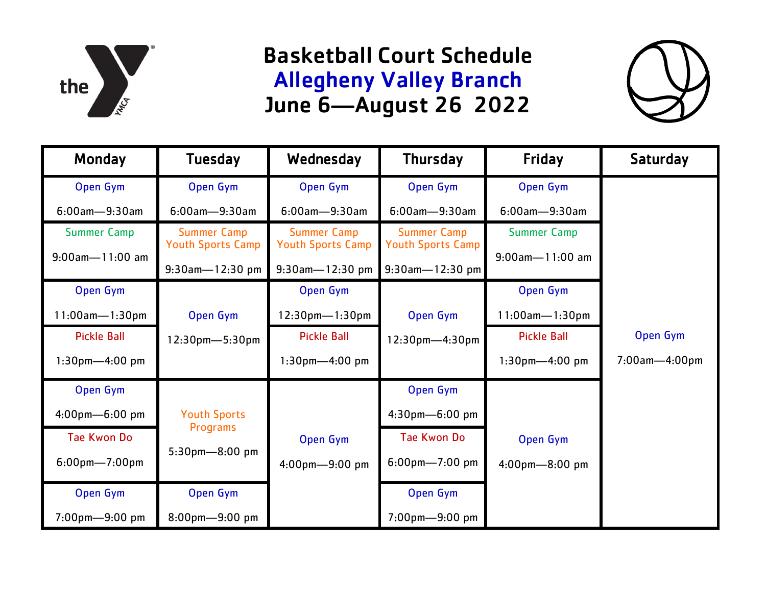

## Basketball Court Schedule Allegheny Valley Branch June 6—August 26 2022



| Monday                | <b>Tuesday</b>                                 | Wednesday                                      | <b>Thursday</b>                                | Friday               | <b>Saturday</b>      |
|-----------------------|------------------------------------------------|------------------------------------------------|------------------------------------------------|----------------------|----------------------|
| Open Gym              | Open Gym                                       | Open Gym                                       | Open Gym                                       | Open Gym             |                      |
| $6:00$ am $-9:30$ am  | $6:00$ am $-9:30$ am                           | $6:00$ am $-9:30$ am                           | $6:00$ am $-9:30$ am                           | $6:00$ am-9:30am     |                      |
| <b>Summer Camp</b>    | <b>Summer Camp</b><br><b>Youth Sports Camp</b> | <b>Summer Camp</b><br><b>Youth Sports Camp</b> | <b>Summer Camp</b><br><b>Youth Sports Camp</b> | <b>Summer Camp</b>   |                      |
| $9:00$ am $-11:00$ am | $9:30$ am-12:30 pm                             | $9:30$ am-12:30 pm                             | $9:30$ am - 12:30 pm                           | $9:00$ am - 11:00 am |                      |
| Open Gym              |                                                | Open Gym                                       |                                                | Open Gym             |                      |
| $11:00$ am-1:30pm     | Open Gym                                       | $12:30$ pm- $1:30$ pm                          | Open Gym                                       | $11:00$ am-1:30pm    |                      |
| <b>Pickle Ball</b>    | $12:30$ pm- $5:30$ pm                          | <b>Pickle Ball</b>                             | $12:30$ pm-4:30pm                              | <b>Pickle Ball</b>   | Open Gym             |
| $1:30$ pm $-4:00$ pm  |                                                | $1:30$ pm $-4:00$ pm                           |                                                | $1:30$ pm $-4:00$ pm | $7:00$ am $-4:00$ pm |
| Open Gym              |                                                |                                                | Open Gym                                       |                      |                      |
| 4:00pm-6:00 pm        | <b>Youth Sports</b>                            |                                                | 4:30pm-6:00 pm                                 |                      |                      |
| <b>Tae Kwon Do</b>    | Programs                                       | Open Gym                                       | <b>Tae Kwon Do</b>                             | Open Gym             |                      |
| $6:00$ pm $-7:00$ pm  | $5:30$ pm-8:00 pm                              | 4:00pm-9:00 pm                                 | $6:00$ pm-7:00 pm                              | $4:00$ pm $-8:00$ pm |                      |
| Open Gym              | Open Gym                                       |                                                | Open Gym                                       |                      |                      |
| 7:00pm-9:00 pm        | $8:00$ pm-9:00 pm                              |                                                | 7:00pm-9:00 pm                                 |                      |                      |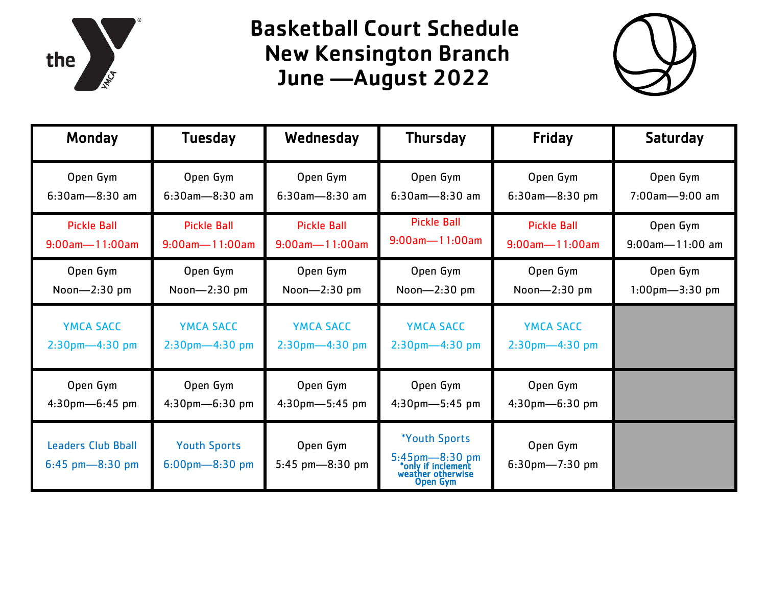

## Basketball Court Schedule New Kensington Branch June —August 2022



| Monday                                         | <b>Tuesday</b>                           | Wednesday                     | <b>Thursday</b>                                                                        | Friday                           | Saturday             |
|------------------------------------------------|------------------------------------------|-------------------------------|----------------------------------------------------------------------------------------|----------------------------------|----------------------|
| Open Gym                                       | Open Gym                                 | Open Gym                      | Open Gym                                                                               | Open Gym                         | Open Gym             |
| $6:30$ am-8:30 am                              | $6:30$ am-8:30 am                        | $6:30$ am-8:30 am             | $6:30$ am-8:30 am                                                                      | $6:30$ am-8:30 pm                | 7:00am-9:00 am       |
| <b>Pickle Ball</b>                             | <b>Pickle Ball</b>                       | <b>Pickle Ball</b>            | <b>Pickle Ball</b>                                                                     | <b>Pickle Ball</b>               | Open Gym             |
| $9:00$ am $-11:00$ am                          | $9:00$ am-11:00am                        | $9:00$ am $-11:00$ am         | $9:00$ am-11:00am                                                                      | $9:00$ am $-11:00$ am            | $9:00$ am-11:00 am   |
| Open Gym                                       | Open Gym                                 | Open Gym                      | Open Gym                                                                               | Open Gym                         | Open Gym             |
| Noon- $2:30$ pm                                | Noon- $2:30$ pm                          | Noon- $2:30$ pm               | Noon-2:30 pm                                                                           | Noon- $2:30$ pm                  | $1:00$ pm $-3:30$ pm |
| <b>YMCA SACC</b>                               | <b>YMCA SACC</b>                         | <b>YMCA SACC</b>              | <b>YMCA SACC</b>                                                                       | <b>YMCA SACC</b>                 |                      |
| $2:30$ pm $-4:30$ pm                           | $2:30$ pm-4:30 pm                        | $2:30$ pm $-4:30$ pm          | $2:30$ pm $-4:30$ pm                                                                   | $2:30$ pm $-4:30$ pm             |                      |
| Open Gym                                       | Open Gym                                 | Open Gym                      | Open Gym                                                                               | Open Gym                         |                      |
| 4:30pm-6:45 pm                                 | 4:30pm-6:30 pm                           | $4:30$ pm $-5:45$ pm          | 4:30pm-5:45 pm                                                                         | 4:30pm-6:30 pm                   |                      |
| <b>Leaders Club Bball</b><br>$6:45$ pm-8:30 pm | <b>Youth Sports</b><br>$6:00$ pm-8:30 pm | Open Gym<br>5:45 $pm-8:30$ pm | *Youth Sports<br>5:45pm-8:30 pm<br>*only if inclement<br>weather otherwise<br>Open Gym | Open Gym<br>$6:30$ pm- $7:30$ pm |                      |